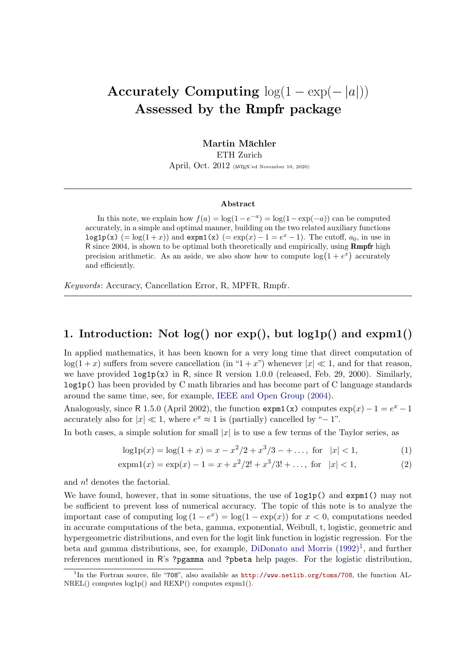# Accurately Computing  $log(1 - exp(-|a|))$ Assessed by the Rmpfr package

Martin Mächler ETH Zurich April, Oct. 2012 (LAT<sub>E</sub>X'ed November 10, 2020)

#### Abstract

In this note, we explain how  $f(a) = \log(1 - e^{-a}) = \log(1 - \exp(-a))$  can be computed accurately, in a simple and optimal manner, building on the two related auxiliary functions log1p(x) (= log(1+x)) and expm1(x) (= exp(x) – 1 =  $e^x$  – 1). The cutoff,  $a_0$ , in use in R since 2004, is shown to be optimal both theoretically and empirically, using Rmpfr high precision arithmetic. As an aside, we also show how to compute  $\log(1 + e^x)$  accurately and efficiently.

*Keywords*: Accuracy, Cancellation Error, R, MPFR, Rmpfr.

# 1. Introduction: Not log() nor exp(), but log1p() and expm1()

In applied mathematics, it has been known for a very long time that direct computation of  $log(1+x)$  suffers from severe cancellation (in "1 + x") whenever  $|x| \ll 1$ , and for that reason, we have provided log1p(x) in R, since R version 1.0.0 (released, Feb. 29, 2000). Similarly, log1p() has been provided by C math libraries and has become part of C language standards around the same time, see, for example, [IEEE and Open Group](#page-8-0) [\(2004\)](#page-8-0).

Analogously, since R 1.5.0 (April 2002), the function expm1(x) computes  $\exp(x) - 1 = e^x - 1$ accurately also for  $|x| \ll 1$ , where  $e^x \approx 1$  is (partially) cancelled by "-1".

In both cases, a simple solution for small  $|x|$  is to use a few terms of the Taylor series, as

<span id="page-0-1"></span>
$$
\log 1p(x) = \log(1+x) = x - \frac{x^2}{2} + \frac{x^3}{3} - + \dots, \text{ for } |x| < 1,\tag{1}
$$

$$
\exp(1(x)) = \exp(x) - 1 = x + x^2/2! + x^3/3! + \dots, \text{ for } |x| < 1,\tag{2}
$$

and n! denotes the factorial.

We have found, however, that in some situations, the use of  $\text{log1p}()$  and  $\text{expm1}(()$  may not be sufficient to prevent loss of numerical accuracy. The topic of this note is to analyze the important case of computing  $log(1-e^x) = log(1 - exp(x))$  for  $x < 0$ , computations needed in accurate computations of the beta, gamma, exponential, Weibull, t, logistic, geometric and hypergeometric distributions, and even for the logit link function in logistic regression. For the beta and gamma distributions, see, for example, [DiDonato and Morris](#page-7-0) [\(1992\)](#page-7-0) [1](#page-0-0) , and further references mentioned in R's ?pgamma and ?pbeta help pages. For the logistic distribution,

<span id="page-0-0"></span><sup>1</sup> In the Fortran source, file "708", also available as <http://www.netlib.org/toms/708>, the function AL-NREL() computes log1p() and REXP() computes expm1().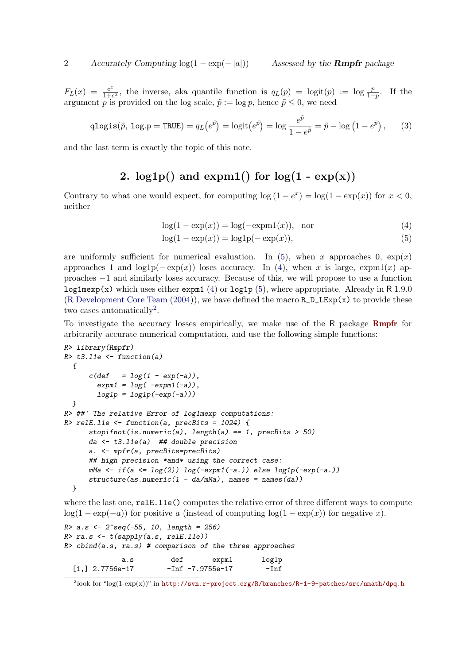$F_L(x) = \frac{e^x}{1+e^x}$  $\frac{e^x}{1+e^x}$ , the inverse, aka quantile function is  $q_L(p) = \log(t)(p) := \log \frac{p}{1-p}$ . If the argument p is provided on the log scale,  $\tilde{p} := \log p$ , hence  $\tilde{p} \leq 0$ , we need

$$
\text{qlogis}(\tilde{p}, \text{ log.p} = \text{TRUE}) = q_L(e^{\tilde{p}}) = \text{logit}(e^{\tilde{p}}) = \text{log}\frac{e^{\tilde{p}}}{1 - e^{\tilde{p}}} = \tilde{p} - \text{log}\left(1 - e^{\tilde{p}}\right),\tag{3}
$$

and the last term is exactly the topic of this note.

# 2.  $log1p()$  and  $expm1()$  for  $log(1 - exp(x))$

Contrary to what one would expect, for computing  $\log(1-e^x) = \log(1-\exp(x))$  for  $x < 0$ , neither

<span id="page-1-1"></span><span id="page-1-0"></span>
$$
log(1 - exp(x)) = log(-expm1(x)), \quad nor \tag{4}
$$

$$
log(1 - exp(x)) = log1p(-exp(x)),
$$
\n(5)

are uniformly sufficient for numerical evaluation. In [\(5\)](#page-1-0), when x approaches 0,  $\exp(x)$ approaches 1 and  $log1p(-exp(x))$  loses accuracy. In [\(4\)](#page-1-1), when x is large, expm1(x) approaches −1 and similarly loses accuracy. Because of this, we will propose to use a function log1mexp(x) which uses either expm1 [\(4\)](#page-1-1) or log1p [\(5\)](#page-1-0), where appropriate. Already in R 1.9.0 [\(R Development Core Team](#page-8-1)  $(2004)$ ), we have defined the macro  $R_{D_{\text{L}}LExp(x)}$  to provide these two cases automatically<sup>[2](#page-1-2)</sup>.

To investigate the accuracy losses empirically, we make use of the R package [Rmpfr](http://CRAN.R-project.org/package=Rmpfr) for arbitrarily accurate numerical computation, and use the following simple functions:

```
R> library(Rmpfr)
R> t3.l1e <- function(a)
  {
      c(\text{def} = \log(1 - \exp(-a)),expm1 = log( -expm1(-a)),
        log1p = log1p(-exp(-a)))
  }
R> ##' The relative Error of log1mexp computations:
R> relE.l1e <- function(a, precBits = 1024) {
      stopifnot(is.numeric(a), length(a) == 1, precBits > 50)
      da <- t3.l1e(a) ## double precision
      a. <- mpfr(a, precBits=precBits)
      ## high precision *and* using the correct case:
      mMa <- if(a <= log(2)) log(-expm1(-a.)) else log1p(-exp(-a.))
      structure(as.numeric(1 - da/mMa), names = names(da))
  }
```
where the last one,  $relEu11e()$  computes the relative error of three different ways to compute  $log(1 - exp(-a))$  for positive a (instead of computing  $log(1 - exp(x))$  for negative x).

```
R> a.s <- 2^seq(-55, 10, length = 256)
R> ra.s <- t(sapply(a.s, relE.l1e))
R> cbind(a.s, ra.s) # comparison of the three approaches
            a.s def expm1 log1p
 [1,] 2.7756e-17 -Inf -7.9755e-17 -Inf
```
<span id="page-1-2"></span> $^{2}$ look for "log(1-exp(x))" in <http://svn.r-project.org/R/branches/R-1-9-patches/src/nmath/dpq.h>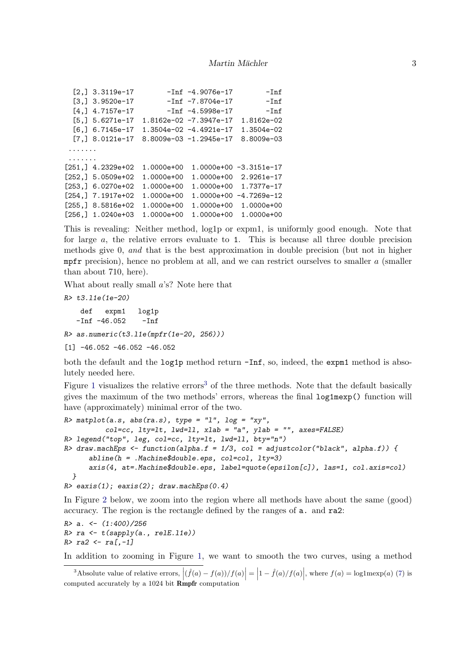```
[2,] 3.3119e-17 -Inf -4.9076e-17 -Inf[3,] 3.9520e-17 -Inf -7.8704e-17 -Inf
 [4,] 4.7157e-17 -Inf -4.5998e-17 -Inf
 [5,] 5.6271e-17 1.8162e-02 -7.3947e-17 1.8162e-02
 [6,] 6.7145e-17 1.3504e-02 -4.4921e-17 1.3504e-02
 [7,] 8.0121e-17 8.8009e-03 -1.2945e-17 8.8009e-03
 .......
 .......
[251,] 4.2329e+02 1.0000e+00 1.0000e+00 -3.3151e-17
[252,] 5.0509e+02 1.0000e+00 1.0000e+00 2.9261e-17
[253,] 6.0270e+02 1.0000e+00 1.0000e+00 1.7377e-17
[254,] 7.1917e+02 1.0000e+00 1.0000e+00 -4.7269e-12
[255,] 8.5816e+02 1.0000e+00 1.0000e+00 1.0000e+00
[256,] 1.0240e+03 1.0000e+00 1.0000e+00 1.0000e+00
```
This is revealing: Neither method, log1p or expm1, is uniformly good enough. Note that for large  $a$ , the relative errors evaluate to 1. This is because all three double precision methods give 0, *and* that is the best approximation in double precision (but not in higher mpfr precision), hence no problem at all, and we can restrict ourselves to smaller  $a$  (smaller than about 710, here).

What about really small a's? Note here that

*R> t3.l1e(1e-20)* def expm1 log1p  $-Inf$   $-46.052$   $-Inf$ *R> as.numeric(t3.l1e(mpfr(1e-20, 256)))*

 $[1]$  -46.052 -46.052 -46.052

both the default and the log1p method return -Inf, so, indeed, the expm1 method is absolutely needed here.

Figure [1](#page-3-0) visualizes the relative errors<sup>[3](#page-2-0)</sup> of the three methods. Note that the default basically gives the maximum of the two methods' errors, whereas the final log1mexp() function will have (approximately) minimal error of the two.

```
R> matplot(a.s, abs(ra.s), type = "l", log = "xy",
          col=cc, lty=lt, lwd=ll, xlab = "a", ylab = "", axes=FALSE)
R> legend("top", leg, col=cc, lty=lt, lwd=ll, bty="n")
R> draw.machEps <- function(alpha.f = 1/3, col = adjustcolor("black", alpha.f)) {
     abline(h = .Machine$double.eps, col=col, lty=3)
      axis(4, at=.Machine$double.eps, label=quote(epsilon[c]), las=1, col.axis=col)
  }
R> eaxis(1); eaxis(2); draw.machEps(0.4)
```
In Figure [2](#page-4-0) below, we zoom into the region where all methods have about the same (good) accuracy. The region is the rectangle defined by the ranges of a. and ra2:

```
R> a. <- (1:400)/256
R> ra <- t(sapply(a., relE.l1e))
R> ra2 <- ra[,-1]
```
In addition to zooming in Figure [1,](#page-3-0) we want to smooth the two curves, using a method

<span id="page-2-0"></span><sup>&</sup>lt;sup>3</sup>Absolute value of relative errors,  $|(\hat{f}(a) - f(a))/f(a)| = |1 - \hat{f}(a)/f(a)|$ , where  $f(a) = \log 1$  mexp(a) [\(7\)](#page-4-1) is computed accurately by a  $1024$  bit Rmpfr computation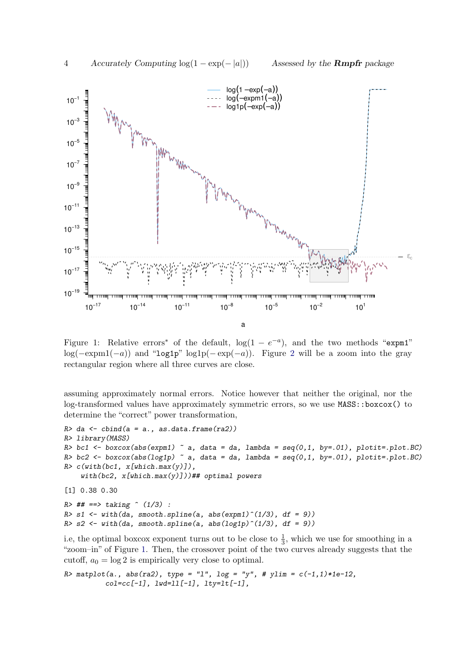

<span id="page-3-0"></span>Figure 1: Relative errors<sup>\*</sup> of the default,  $log(1 - e^{-a})$ , and the two methods "expm1" log( $-e^{\exp(-a)}$ ) and "log1p" log1p( $-e^{\exp(-a)}$ ). Figure [2](#page-4-0) will be a zoom into the gray rectangular region where all three curves are close.

assuming approximately normal errors. Notice however that neither the original, nor the log-transformed values have approximately symmetric errors, so we use MASS::boxcox() to determine the "correct" power transformation,

```
R> da <- cbind(a = a., as.data.frame(ra2))
R> library(MASS)
R> bc1 <- boxcox(abs(expm1) ~ a, data = da, lambda = seq(0,1, by=.01), plotit=.plot.BC)
R> bc2 <- boxcox(abs(log1p) \tilde{a}, data = da, lambda = seq(0,1, by=.01), plotit=.plot.BC)
R> c(with(bc1, x[which.max(y)]),
    with(bc2, x[which.max(y)]))## optimal powers
[1] 0.38 0.30
R> ## ==> taking ^ (1/3) :
R> s1 <- with(da, smooth.spline(a, abs(expm1)^(1/3), df = 9))
R> s2 <- with(da, smooth.spline(a, abs(log1p)^(1/3), df = 9))
```
i.e, the optimal boxcox exponent turns out to be close to  $\frac{1}{3}$ , which we use for smoothing in a "zoom–in" of Figure [1.](#page-3-0) Then, the crossover point of the two curves already suggests that the cutoff,  $a_0 = \log 2$  is empirically very close to optimal.

*R> matplot(a., abs(ra2), type = "l", log = "y", # ylim = c(-1,1)\*1e-12, col=cc[-1], lwd=ll[-1], lty=lt[-1],*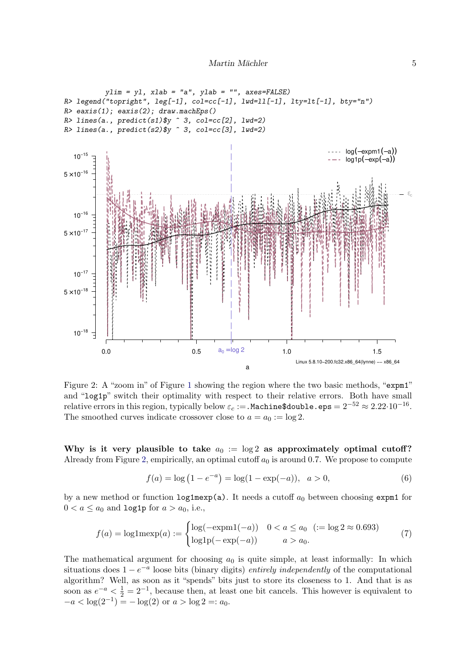

<span id="page-4-0"></span>Figure 2: A "zoom in" of Figure [1](#page-3-0) showing the region where the two basic methods, "expm1" and "log1p" switch their optimality with respect to their relative errors. Both have small relative errors in this region, typically below  $\varepsilon_c$  := . Machine\$double.eps =  $2^{-52} \approx 2.22 \cdot 10^{-16}$ . The smoothed curves indicate crossover close to  $a = a_0 := \log 2$ .

Why is it very plausible to take  $a_0 := \log 2$  as approximately optimal cutoff? Already from Figure [2,](#page-4-0) empirically, an optimal cutoff  $a_0$  is around 0.7. We propose to compute

<span id="page-4-1"></span>
$$
f(a) = \log(1 - e^{-a}) = \log(1 - \exp(-a)), \quad a > 0,
$$
\n(6)

by a new method or function  $\texttt{log1mexp(a)}$ . It needs a cutoff  $a_0$  between choosing expm1 for  $0 < a \le a_0$  and log1p for  $a > a_0$ , i.e.,

$$
f(a) = \log 1 \text{mexp}(a) := \begin{cases} \log(-\text{expm1}(-a)) & 0 < a \le a_0 \ \ (:= \log 2 \approx 0.693) \\ \log 1 \text{p}(-\text{exp}(-a)) & a > a_0. \end{cases} \tag{7}
$$

The mathematical argument for choosing  $a_0$  is quite simple, at least informally: In which situations does  $1 - e^{-a}$  loose bits (binary digits) *entirely independently* of the computational algorithm? Well, as soon as it "spends" bits just to store its closeness to 1. And that is as soon as  $e^{-a} < \frac{1}{2} = 2^{-1}$ , because then, at least one bit cancels. This however is equivalent to  $-a < \log(2^{-1}) = -\log(2)$  or  $a > \log 2 =: a_0$ .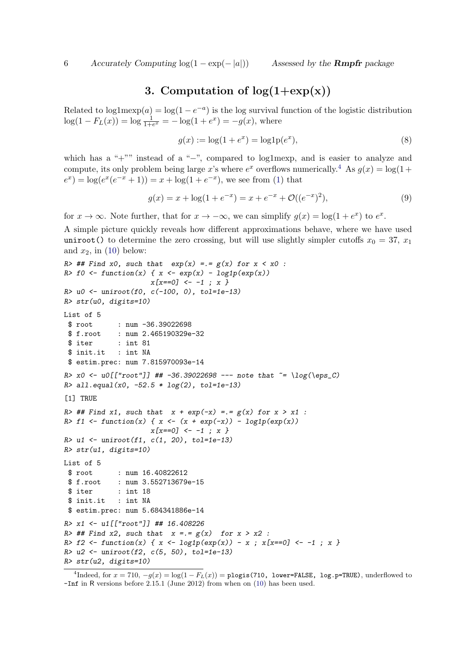# 3. Computation of  $log(1+exp(x))$

Related to  $log(1 - e^{-a})$  is the log survival function of the logistic distribution  $log(1 - F_L(x)) = log \frac{1}{1 + e^x} = -log(1 + e^x) = -g(x)$ , where

$$
g(x) := \log(1 + e^x) = \log 1 p(e^x),
$$
\n(8)

which has a "+"" instead of a "−", compared to log1mexp, and is easier to analyze and compute, its only problem being large x's where  $e^x$  overflows numerically.<sup>[4](#page-5-0)</sup> As  $g(x) = \log(1 +$  $(e^x) = \log(e^x(e^{-x} + 1)) = x + \log(1 + e^{-x}),$  we see from [\(1\)](#page-0-1) that

$$
g(x) = x + \log(1 + e^{-x}) = x + e^{-x} + \mathcal{O}((e^{-x})^2),\tag{9}
$$

for  $x \to \infty$ . Note further, that for  $x \to -\infty$ , we can simplify  $g(x) = \log(1 + e^x)$  to  $e^x$ .

A simple picture quickly reveals how different approximations behave, where we have used uniroot() to determine the zero crossing, but will use slightly simpler cutoffs  $x_0 = 37, x_1$ and  $x_2$ , in [\(10\)](#page-6-0) below:

```
R> ## Find x0, such that exp(x) =.= g(x) for x < x0 :
R> f0 <- function(x) { x <- exp(x) - log1p(exp(x))x[x==0] <- -1 ; x }
R> u0 <- uniroot(f0, c(-100, 0), tol=1e-13)
R> str(u0, digits=10)
List of 5
$ root : num -36.39022698
 $ f.root : num 2.465190329e-32
 $ iter : int 81
 $ init.it : int NA
 $ estim.prec: num 7.815970093e-14
R> x0 <- u0[["root"]] ## -36.39022698 --- note that ~= \log(\eps_C)
R> all.equal(x0, -52.5 * log(2), tol=1e-13)
[1] TRUE
R> ## Find x1, such that x + exp(-x) =.= g(x) for x > x1 :
R> f1 <- function(x) { x <- (x + exp(-x)) - log1p(exp(x))
                    x[x==0] <- -1 ; x }
R> u1 <- uniroot(f1, c(1, 20), tol=1e-13)
R> str(u1, digits=10)
List of 5
 $ root : num 16.40822612
 $ f.root : num 3.552713679e-15
 $ iter : int 18
 $ init.it : int NA
$ estim.prec: num 5.684341886e-14
R> x1 <- u1[["root"]] ## 16.408226
R> ## Find x2, such that x =.= g(x) for x > x2 :
R> f2 <- function(x) { x <- log1p(exp(x)) - x ; x[x==0] <- -1 ; x }
R> u2 <- uniroot(f2, c(5, 50), tol=1e-13)
R> str(u2, digits=10)
```
<span id="page-5-0"></span><sup>4</sup>Indeed, for  $x = 710$ ,  $-g(x) = \log(1 - F_L(x)) =$  plogis(710, lower=FALSE, log.p=TRUE), underflowed to -Inf in R versions before 2.15.1 (June 2012) from when on [\(10\)](#page-6-0) has been used.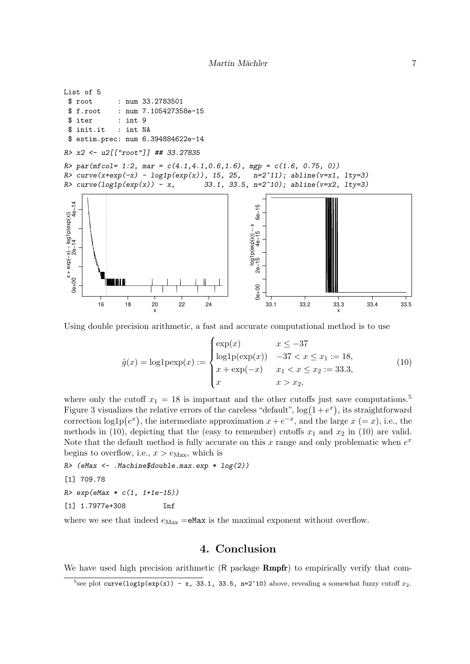```
List of 5
 $ root : num 33.2783501
 $ f.root : num 7.105427358e-15
 $ iter : int 9
 $ init.it : int NA
 $ estim.prec: num 6.394884622e-14
R> x2 <- u2[["root"]] ## 33.27835
R> par(mfcol= 1:2, mar = c(4.1,4.1,0.6,1.6), mgp = c(1.6, 0.75, 0))
R> curve(x+exp(-x) - log1p(exp(x)), 15, 25, n=2^11); abline(v=x1, lty=3)
R> curve(log1p(exp(x)) - x, 33.1, 33.5, n=2^10); abline(v=x2, lty=3)
x + exp(-x) - log 1p(exp(x))<br>
2e-14<br>
4e-140e+00 2e−14 4e−14
                                                              0e+00 2e−15 4e−15 6e−15
                                                             6e-1(x) dxe) dr = log1 − (x) dxe + x
                                                            pq1p(exp(x)) - xlog1p(exp(x)) − x
```
Using double precision arithmetic, a fast and accurate computational method is to use

 $\exp(x)$   $x \leq -37$ 

x  $x > x_2$ ,

 $log1p(exp(x))$  – 37 <  $x \leq x_1 := 18$ ,  $x + \exp(-x)$   $x_1 < x \le x_2 := 33.3$ ,

 $\sqrt{ }$  $\int$ 

 $\overline{\mathcal{L}}$ 

where only the cutoff  $x_1 = 18$  is important and the other cutoffs just save computations.<sup>[5](#page-6-1)</sup> Figure [3](#page-7-1) visualizes the relative errors of the careless "default",  $\log(1+e^x)$ , its straightforward correction  $log 1p(e^x)$ , the intermediate approximation  $x + e^{-x}$ , and the large  $x (= x)$ , i.e., the methods in [\(10\)](#page-6-0), depicting that the (easy to remember) cutoffs  $x_1$  and  $x_2$  in (10) are valid. Note that the default method is fully accurate on this x range and only problematic when  $e^x$ begins to overflow, i.e.,  $x > e_{\text{Max}}$ , which is

*R> (eMax <- .Machine\$double.max.exp \* log(2))*

16 18 20 22 24

x

 $\hat{g}(x) = \log \mathrm{lpexp}(x) :=$ 

```
[1] 709.78
```

```
R> exp(eMax * c(1, 1+1e-15))
```

```
[1] 1.7977e+308 Inf
```
where we see that indeed  $e_{\text{Max}} = e$ Max is the maximal exponent without overflow.

### 4. Conclusion

We have used high precision arithmetic (R package  $Rmpfr$ ) to empirically verify that com-

<span id="page-6-0"></span>(10)

33.1 33.2 33.3 33.4 33.5

x

<span id="page-6-1"></span><sup>&</sup>lt;sup>5</sup>see plot curve(log1p(exp(x)) - x, 33.1, 33.5, n=2^10) above, revealing a somewhat fuzzy cutoff  $x_2$ .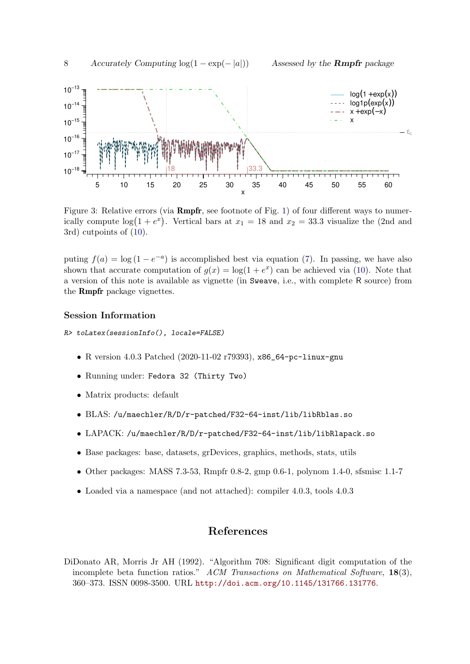

<span id="page-7-1"></span>Figure 3: Relative errors (via **Rmpfr**, see footnote of Fig. [1\)](#page-3-0) of four different ways to numerically compute  $\log(1 + e^x)$ . Vertical bars at  $x_1 = 18$  and  $x_2 = 33.3$  visualize the (2nd and 3rd) cutpoints of [\(10\)](#page-6-0).

puting  $f(a) = \log(1 - e^{-a})$  is accomplished best via equation [\(7\)](#page-4-1). In passing, we have also shown that accurate computation of  $g(x) = \log(1 + e^x)$  can be achieved via [\(10\)](#page-6-0). Note that a version of this note is available as vignette (in Sweave, i.e., with complete R source) from the Rmpfr package vignettes.

#### Session Information

*R> toLatex(sessionInfo(), locale=FALSE)*

- R version 4.0.3 Patched (2020-11-02 r79393), x86\_64-pc-linux-gnu
- Running under: Fedora 32 (Thirty Two)
- Matrix products: default
- BLAS: /u/maechler/R/D/r-patched/F32-64-inst/lib/libRblas.so
- LAPACK: /u/maechler/R/D/r-patched/F32-64-inst/lib/libRlapack.so
- Base packages: base, datasets, grDevices, graphics, methods, stats, utils
- Other packages: MASS 7.3-53, Rmpfr 0.8-2, gmp 0.6-1, polynom 1.4-0, sfsmisc 1.1-7
- Loaded via a namespace (and not attached): compiler 4.0.3, tools 4.0.3

## References

<span id="page-7-0"></span>DiDonato AR, Morris Jr AH (1992). "Algorithm 708: Significant digit computation of the incomplete beta function ratios." *ACM Transactions on Mathematical Software*, 18(3), 360–373. ISSN 0098-3500. URL <http://doi.acm.org/10.1145/131766.131776>.